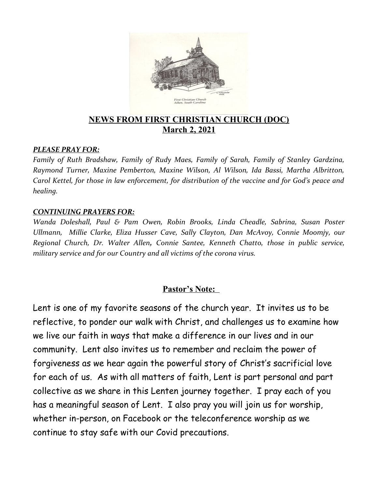

## **NEWS FROM FIRST CHRISTIAN CHURCH (DOC) March 2, 2021**

#### *PLEASE PRAY FOR:*

*Family of Ruth Bradshaw, Family of Rudy Maes, Family of Sarah, Family of Stanley Gardzina, Raymond Turner, Maxine Pemberton, Maxine Wilson, Al Wilson, Ida Bassi, Martha Albritton, Carol Kettel, for those in law enforcement, for distribution of the vaccine and for God's peace and healing.*

#### *CONTINUING PRAYERS FOR:*

*Wanda Doleshall, Paul & Pam Owen, Robin Brooks, Linda Cheadle, Sabrina, Susan Poster Ullmann, Millie Clarke, Eliza Husser Cave, Sally Clayton, Dan McAvoy, Connie Moomjy, our Regional Church, Dr. Walter Allen, Connie Santee, Kenneth Chatto, those in public service, military service and for our Country and all victims of the corona virus.* 

### **Pastor's Note:**

Lent is one of my favorite seasons of the church year. It invites us to be reflective, to ponder our walk with Christ, and challenges us to examine how we live our faith in ways that make a difference in our lives and in our community. Lent also invites us to remember and reclaim the power of forgiveness as we hear again the powerful story of Christ's sacrificial love for each of us. As with all matters of faith, Lent is part personal and part collective as we share in this Lenten journey together. I pray each of you has a meaningful season of Lent. I also pray you will join us for worship, whether in-person, on Facebook or the teleconference worship as we continue to stay safe with our Covid precautions.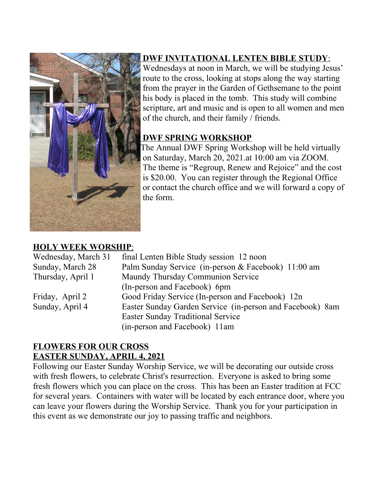

# **DWF INVITATIONAL LENTEN BIBLE STUDY** :

 Wednesdays at noon in March, we will be studying Jesus' route to the cross, looking at stops along the way starting from the prayer in the Garden of Gethsemane to the point his body is placed in the tomb. This study will combine scripture, art and music and is open to all women and men of the church, and their family / friends.

# **DWF SPRING WORKSHOP**

The Annual DWF Spring Workshop will be held virtually on Saturday, March 20, 2021.at 10:00 am via ZOOM. The theme is "Regroup, Renew and Rejoice" and the cost is \$20.00. You can register through the Regional Office or contact the church office and we will forward a copy of the form.

# **HOLY WEEK WORSHIP** :

| Wednesday, March 31 | final Lenten Bible Study session 12 noon                  |  |
|---------------------|-----------------------------------------------------------|--|
| Sunday, March 28    | Palm Sunday Service (in-person & Facebook) 11:00 am       |  |
| Thursday, April 1   | Maundy Thursday Communion Service                         |  |
|                     | (In-person and Facebook) 6pm                              |  |
| Friday, April 2     | Good Friday Service (In-person and Facebook) 12n          |  |
| Sunday, April 4     | Easter Sunday Garden Service (in-person and Facebook) 8am |  |
|                     | <b>Easter Sunday Traditional Service</b>                  |  |
|                     | (in-person and Facebook) 11am                             |  |

# **FLOWERS FOR OUR CROSS EASTER SUNDAY, APRIL 4, 2021**

Following our Easter Sunday Worship Service, we will be decorating our outside cross with fresh flowers, to celebrate Christ's resurrection. Everyone is asked to bring some fresh flowers which you can place on the cross. This has been an Easter tradition at FCC for several years. Containers with water will be located by each entrance door, where you can leave your flowers during the Worship Service. Thank you for your participation in this event as we demonstrate our joy to passing traffic and neighbors.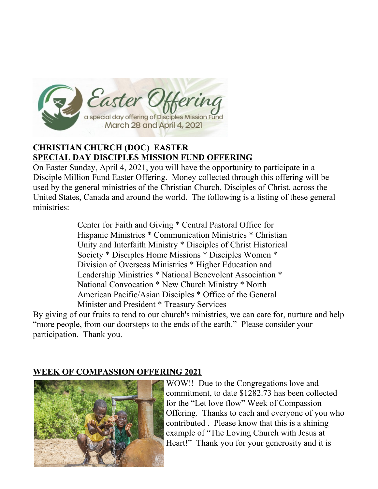

# **CHRISTIAN CHURCH (DOC) EASTER SPECIAL DAY DISCIPLES MISSION FUND OFFERING**

On Easter Sunday, April 4, 2021, you will have the opportunity to participate in a Disciple Million Fund Easter Offering. Money collected through this offering will be used by the general ministries of the Christian Church, Disciples of Christ, across the United States, Canada and around the world. The following is a listing of these general ministries:

> Center for Faith and Giving \* Central Pastoral Office for Hispanic Ministries \* Communication Ministries \* Christian Unity and Interfaith Ministry \* Disciples of Christ Historical Society \* Disciples Home Missions \* Disciples Women \* Division of Overseas Ministries \* Higher Education and Leadership Ministries \* National Benevolent Association \* National Convocation \* New Church Ministry \* North American Pacific/Asian Disciples \* Office of the General Minister and President \* Treasury Services

By giving of our fruits to tend to our church's ministries, we can care for, nurture and help "more people, from our doorsteps to the ends of the earth." Please consider your participation. Thank you. 

### **WEEK OF COMPASSION OFFERING 2021**



 WOW!! Due to the Congregations love and commitment, to date \$1282.73 has been collected for the "Let love flow" Week of Compassion Offering. Thanks to each and everyone of you who contributed . Please know that this is a shining example of "The Loving Church with Jesus at Heart!" Thank you for your generosity and it is